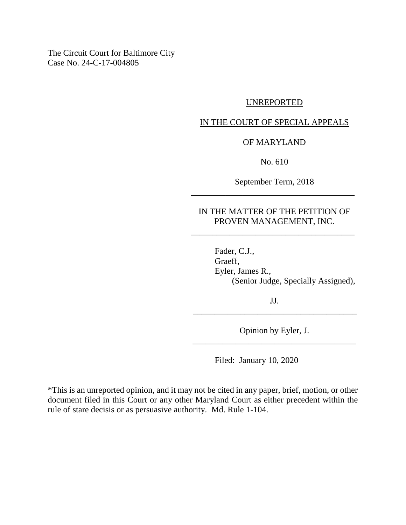The Circuit Court for Baltimore City Case No. 24-C-17-004805

## UNREPORTED

## IN THE COURT OF SPECIAL APPEALS

#### OF MARYLAND

No. 610

September Term, 2018 \_\_\_\_\_\_\_\_\_\_\_\_\_\_\_\_\_\_\_\_\_\_\_\_\_\_\_\_\_\_\_\_\_\_\_\_\_\_

## IN THE MATTER OF THE PETITION OF PROVEN MANAGEMENT, INC.

\_\_\_\_\_\_\_\_\_\_\_\_\_\_\_\_\_\_\_\_\_\_\_\_\_\_\_\_\_\_\_\_\_\_\_\_\_\_

Fader, C.J., Graeff, Eyler, James R., (Senior Judge, Specially Assigned),

JJ. \_\_\_\_\_\_\_\_\_\_\_\_\_\_\_\_\_\_\_\_\_\_\_\_\_\_\_\_\_\_\_\_\_\_\_\_\_\_

Opinion by Eyler, J. \_\_\_\_\_\_\_\_\_\_\_\_\_\_\_\_\_\_\_\_\_\_\_\_\_\_\_\_\_\_\_\_\_\_\_\_\_\_

Filed: January 10, 2020

\*This is an unreported opinion, and it may not be cited in any paper, brief, motion, or other document filed in this Court or any other Maryland Court as either precedent within the rule of stare decisis or as persuasive authority. Md. Rule 1-104.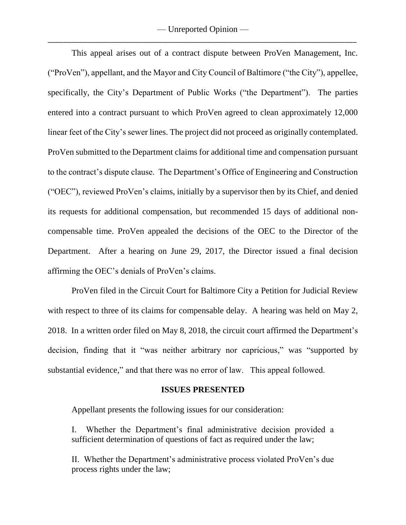— Unreported Opinion — \_\_\_\_\_\_\_\_\_\_\_\_\_\_\_\_\_\_\_\_\_\_\_\_\_\_\_\_\_\_\_\_\_\_\_\_\_\_\_\_\_\_\_\_\_\_\_\_\_\_\_\_\_\_\_\_\_\_\_\_\_\_\_\_\_\_\_\_\_\_\_\_\_\_\_\_\_\_

This appeal arises out of a contract dispute between ProVen Management, Inc. ("ProVen"), appellant, and the Mayor and City Council of Baltimore ("the City"), appellee, specifically, the City's Department of Public Works ("the Department"). The parties entered into a contract pursuant to which ProVen agreed to clean approximately 12,000 linear feet of the City's sewer lines. The project did not proceed as originally contemplated. ProVen submitted to the Department claims for additional time and compensation pursuant to the contract's dispute clause. The Department's Office of Engineering and Construction ("OEC"), reviewed ProVen's claims, initially by a supervisor then by its Chief, and denied its requests for additional compensation, but recommended 15 days of additional noncompensable time. ProVen appealed the decisions of the OEC to the Director of the Department. After a hearing on June 29, 2017, the Director issued a final decision affirming the OEC's denials of ProVen's claims.

ProVen filed in the Circuit Court for Baltimore City a Petition for Judicial Review with respect to three of its claims for compensable delay. A hearing was held on May 2, 2018. In a written order filed on May 8, 2018, the circuit court affirmed the Department's decision, finding that it "was neither arbitrary nor capricious," was "supported by substantial evidence," and that there was no error of law. This appeal followed.

### **ISSUES PRESENTED**

Appellant presents the following issues for our consideration:

I. Whether the Department's final administrative decision provided a sufficient determination of questions of fact as required under the law;

II. Whether the Department's administrative process violated ProVen's due process rights under the law;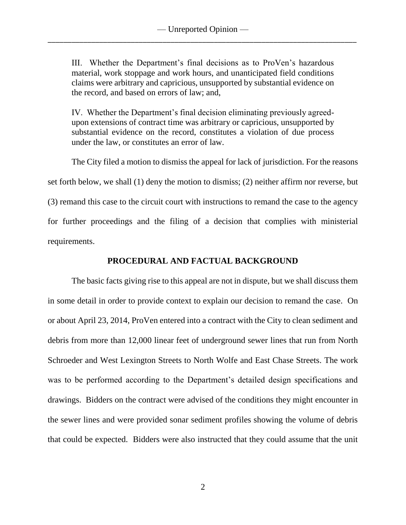III. Whether the Department's final decisions as to ProVen's hazardous material, work stoppage and work hours, and unanticipated field conditions claims were arbitrary and capricious, unsupported by substantial evidence on the record, and based on errors of law; and,

IV. Whether the Department's final decision eliminating previously agreedupon extensions of contract time was arbitrary or capricious, unsupported by substantial evidence on the record, constitutes a violation of due process under the law, or constitutes an error of law.

The City filed a motion to dismiss the appeal for lack of jurisdiction. For the reasons set forth below, we shall (1) deny the motion to dismiss; (2) neither affirm nor reverse, but (3) remand this case to the circuit court with instructions to remand the case to the agency for further proceedings and the filing of a decision that complies with ministerial requirements.

## **PROCEDURAL AND FACTUAL BACKGROUND**

The basic facts giving rise to this appeal are not in dispute, but we shall discuss them in some detail in order to provide context to explain our decision to remand the case. On or about April 23, 2014, ProVen entered into a contract with the City to clean sediment and debris from more than 12,000 linear feet of underground sewer lines that run from North Schroeder and West Lexington Streets to North Wolfe and East Chase Streets. The work was to be performed according to the Department's detailed design specifications and drawings. Bidders on the contract were advised of the conditions they might encounter in the sewer lines and were provided sonar sediment profiles showing the volume of debris that could be expected. Bidders were also instructed that they could assume that the unit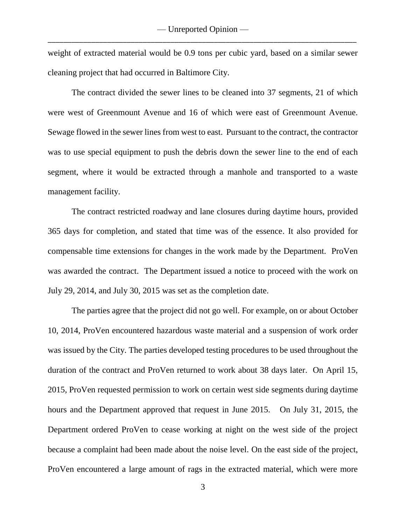weight of extracted material would be 0.9 tons per cubic yard, based on a similar sewer cleaning project that had occurred in Baltimore City.

The contract divided the sewer lines to be cleaned into 37 segments, 21 of which were west of Greenmount Avenue and 16 of which were east of Greenmount Avenue. Sewage flowed in the sewer lines from west to east. Pursuant to the contract, the contractor was to use special equipment to push the debris down the sewer line to the end of each segment, where it would be extracted through a manhole and transported to a waste management facility.

The contract restricted roadway and lane closures during daytime hours, provided 365 days for completion, and stated that time was of the essence. It also provided for compensable time extensions for changes in the work made by the Department. ProVen was awarded the contract. The Department issued a notice to proceed with the work on July 29, 2014, and July 30, 2015 was set as the completion date.

The parties agree that the project did not go well. For example, on or about October 10, 2014, ProVen encountered hazardous waste material and a suspension of work order was issued by the City. The parties developed testing procedures to be used throughout the duration of the contract and ProVen returned to work about 38 days later. On April 15, 2015, ProVen requested permission to work on certain west side segments during daytime hours and the Department approved that request in June 2015. On July 31, 2015, the Department ordered ProVen to cease working at night on the west side of the project because a complaint had been made about the noise level. On the east side of the project, ProVen encountered a large amount of rags in the extracted material, which were more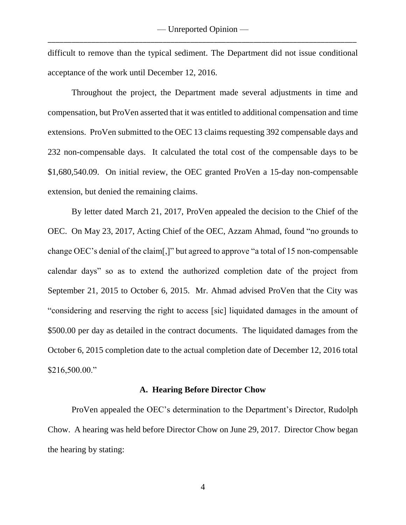difficult to remove than the typical sediment. The Department did not issue conditional acceptance of the work until December 12, 2016.

Throughout the project, the Department made several adjustments in time and compensation, but ProVen asserted that it was entitled to additional compensation and time extensions. ProVen submitted to the OEC 13 claims requesting 392 compensable days and 232 non-compensable days. It calculated the total cost of the compensable days to be \$1,680,540.09. On initial review, the OEC granted ProVen a 15-day non-compensable extension, but denied the remaining claims.

By letter dated March 21, 2017, ProVen appealed the decision to the Chief of the OEC. On May 23, 2017, Acting Chief of the OEC, Azzam Ahmad, found "no grounds to change OEC's denial of the claim[,]" but agreed to approve "a total of 15 non-compensable calendar days" so as to extend the authorized completion date of the project from September 21, 2015 to October 6, 2015. Mr. Ahmad advised ProVen that the City was "considering and reserving the right to access [sic] liquidated damages in the amount of \$500.00 per day as detailed in the contract documents. The liquidated damages from the October 6, 2015 completion date to the actual completion date of December 12, 2016 total \$216,500.00."

#### **A. Hearing Before Director Chow**

ProVen appealed the OEC's determination to the Department's Director, Rudolph Chow. A hearing was held before Director Chow on June 29, 2017. Director Chow began the hearing by stating: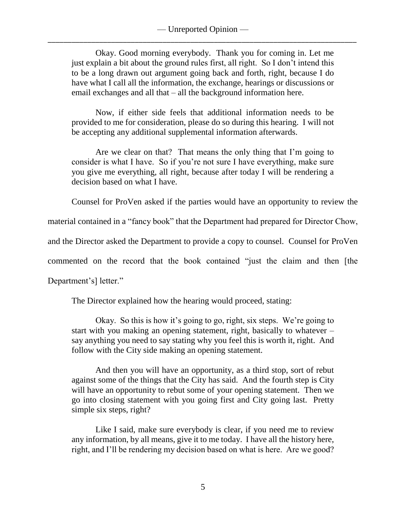Okay. Good morning everybody. Thank you for coming in. Let me just explain a bit about the ground rules first, all right. So I don't intend this to be a long drawn out argument going back and forth, right, because I do have what I call all the information, the exchange, hearings or discussions or email exchanges and all that – all the background information here.

Now, if either side feels that additional information needs to be provided to me for consideration, please do so during this hearing. I will not be accepting any additional supplemental information afterwards.

Are we clear on that? That means the only thing that I'm going to consider is what I have. So if you're not sure I have everything, make sure you give me everything, all right, because after today I will be rendering a decision based on what I have.

Counsel for ProVen asked if the parties would have an opportunity to review the

material contained in a "fancy book" that the Department had prepared for Director Chow,

and the Director asked the Department to provide a copy to counsel. Counsel for ProVen

commented on the record that the book contained "just the claim and then [the

Department's] letter."

The Director explained how the hearing would proceed, stating:

Okay. So this is how it's going to go, right, six steps. We're going to start with you making an opening statement, right, basically to whatever – say anything you need to say stating why you feel this is worth it, right. And follow with the City side making an opening statement.

And then you will have an opportunity, as a third stop, sort of rebut against some of the things that the City has said. And the fourth step is City will have an opportunity to rebut some of your opening statement. Then we go into closing statement with you going first and City going last. Pretty simple six steps, right?

Like I said, make sure everybody is clear, if you need me to review any information, by all means, give it to me today. I have all the history here, right, and I'll be rendering my decision based on what is here. Are we good?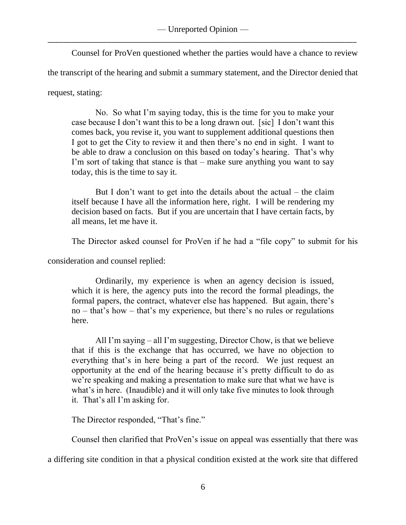Counsel for ProVen questioned whether the parties would have a chance to review

the transcript of the hearing and submit a summary statement, and the Director denied that

request, stating:

No. So what I'm saying today, this is the time for you to make your case because I don't want this to be a long drawn out. [sic] I don't want this comes back, you revise it, you want to supplement additional questions then I got to get the City to review it and then there's no end in sight. I want to be able to draw a conclusion on this based on today's hearing. That's why I'm sort of taking that stance is that – make sure anything you want to say today, this is the time to say it.

But I don't want to get into the details about the actual – the claim itself because I have all the information here, right. I will be rendering my decision based on facts. But if you are uncertain that I have certain facts, by all means, let me have it.

The Director asked counsel for ProVen if he had a "file copy" to submit for his

consideration and counsel replied:

Ordinarily, my experience is when an agency decision is issued, which it is here, the agency puts into the record the formal pleadings, the formal papers, the contract, whatever else has happened. But again, there's no – that's how – that's my experience, but there's no rules or regulations here.

All I'm saying – all I'm suggesting, Director Chow, is that we believe that if this is the exchange that has occurred, we have no objection to everything that's in here being a part of the record. We just request an opportunity at the end of the hearing because it's pretty difficult to do as we're speaking and making a presentation to make sure that what we have is what's in here. (Inaudible) and it will only take five minutes to look through it. That's all I'm asking for.

The Director responded, "That's fine."

Counsel then clarified that ProVen's issue on appeal was essentially that there was

a differing site condition in that a physical condition existed at the work site that differed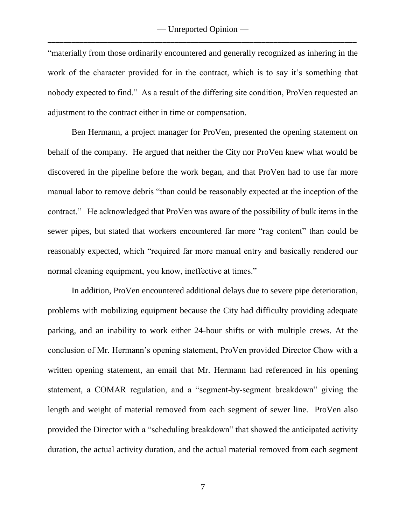"materially from those ordinarily encountered and generally recognized as inhering in the work of the character provided for in the contract, which is to say it's something that nobody expected to find." As a result of the differing site condition, ProVen requested an adjustment to the contract either in time or compensation.

Ben Hermann, a project manager for ProVen, presented the opening statement on behalf of the company. He argued that neither the City nor ProVen knew what would be discovered in the pipeline before the work began, and that ProVen had to use far more manual labor to remove debris "than could be reasonably expected at the inception of the contract." He acknowledged that ProVen was aware of the possibility of bulk items in the sewer pipes, but stated that workers encountered far more "rag content" than could be reasonably expected, which "required far more manual entry and basically rendered our normal cleaning equipment, you know, ineffective at times."

In addition, ProVen encountered additional delays due to severe pipe deterioration, problems with mobilizing equipment because the City had difficulty providing adequate parking, and an inability to work either 24-hour shifts or with multiple crews. At the conclusion of Mr. Hermann's opening statement, ProVen provided Director Chow with a written opening statement, an email that Mr. Hermann had referenced in his opening statement, a COMAR regulation, and a "segment-by-segment breakdown" giving the length and weight of material removed from each segment of sewer line. ProVen also provided the Director with a "scheduling breakdown" that showed the anticipated activity duration, the actual activity duration, and the actual material removed from each segment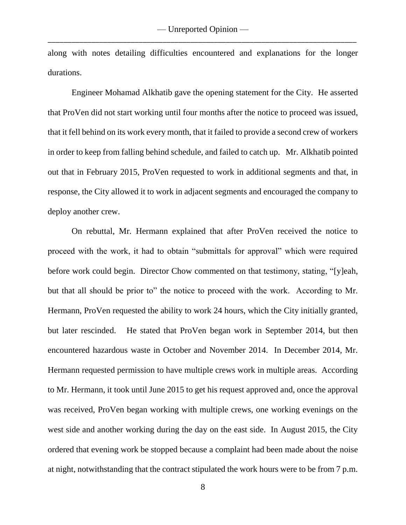along with notes detailing difficulties encountered and explanations for the longer durations.

Engineer Mohamad Alkhatib gave the opening statement for the City. He asserted that ProVen did not start working until four months after the notice to proceed was issued, that it fell behind on its work every month, that it failed to provide a second crew of workers in order to keep from falling behind schedule, and failed to catch up. Mr. Alkhatib pointed out that in February 2015, ProVen requested to work in additional segments and that, in response, the City allowed it to work in adjacent segments and encouraged the company to deploy another crew.

On rebuttal, Mr. Hermann explained that after ProVen received the notice to proceed with the work, it had to obtain "submittals for approval" which were required before work could begin. Director Chow commented on that testimony, stating, "[y]eah, but that all should be prior to" the notice to proceed with the work. According to Mr. Hermann, ProVen requested the ability to work 24 hours, which the City initially granted, but later rescinded. He stated that ProVen began work in September 2014, but then encountered hazardous waste in October and November 2014. In December 2014, Mr. Hermann requested permission to have multiple crews work in multiple areas. According to Mr. Hermann, it took until June 2015 to get his request approved and, once the approval was received, ProVen began working with multiple crews, one working evenings on the west side and another working during the day on the east side. In August 2015, the City ordered that evening work be stopped because a complaint had been made about the noise at night, notwithstanding that the contract stipulated the work hours were to be from 7 p.m.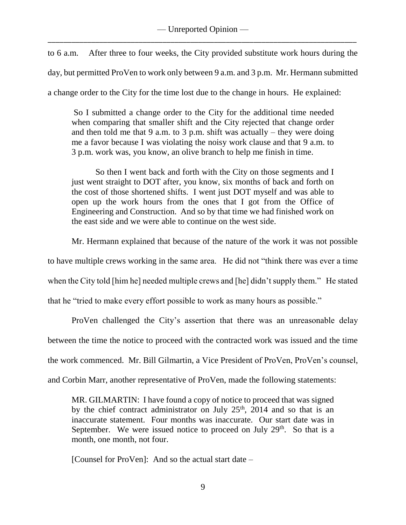to 6 a.m. After three to four weeks, the City provided substitute work hours during the day, but permitted ProVen to work only between 9 a.m. and 3 p.m. Mr. Hermann submitted a change order to the City for the time lost due to the change in hours. He explained:

So I submitted a change order to the City for the additional time needed when comparing that smaller shift and the City rejected that change order and then told me that 9 a.m. to 3 p.m. shift was actually – they were doing me a favor because I was violating the noisy work clause and that 9 a.m. to 3 p.m. work was, you know, an olive branch to help me finish in time.

So then I went back and forth with the City on those segments and I just went straight to DOT after, you know, six months of back and forth on the cost of those shortened shifts. I went just DOT myself and was able to open up the work hours from the ones that I got from the Office of Engineering and Construction. And so by that time we had finished work on the east side and we were able to continue on the west side.

Mr. Hermann explained that because of the nature of the work it was not possible

to have multiple crews working in the same area. He did not "think there was ever a time

when the City told [him he] needed multiple crews and [he] didn't supply them." He stated

that he "tried to make every effort possible to work as many hours as possible."

ProVen challenged the City's assertion that there was an unreasonable delay

between the time the notice to proceed with the contracted work was issued and the time

the work commenced. Mr. Bill Gilmartin, a Vice President of ProVen, ProVen's counsel,

and Corbin Marr, another representative of ProVen, made the following statements:

MR. GILMARTIN: I have found a copy of notice to proceed that was signed by the chief contract administrator on July  $25<sup>th</sup>$ , 2014 and so that is an inaccurate statement. Four months was inaccurate. Our start date was in September. We were issued notice to proceed on July  $29<sup>th</sup>$ . So that is a month, one month, not four.

[Counsel for ProVen]: And so the actual start date –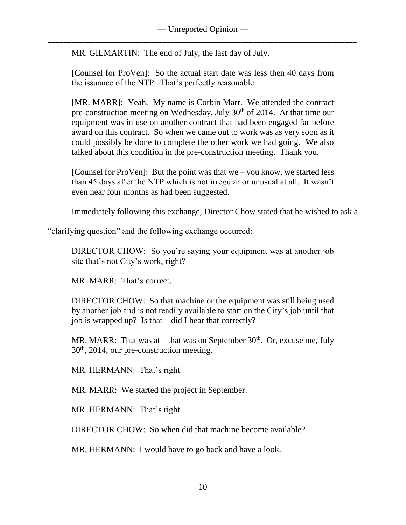MR. GILMARTIN: The end of July, the last day of July.

[Counsel for ProVen]: So the actual start date was less then 40 days from the issuance of the NTP. That's perfectly reasonable.

[MR. MARR]: Yeah. My name is Corbin Marr. We attended the contract pre-construction meeting on Wednesday, July 30<sup>th</sup> of 2014. At that time our equipment was in use on another contract that had been engaged far before award on this contract. So when we came out to work was as very soon as it could possibly be done to complete the other work we had going. We also talked about this condition in the pre-construction meeting. Thank you.

[Counsel for ProVen]: But the point was that we – you know, we started less than 45 days after the NTP which is not irregular or unusual at all. It wasn't even near four months as had been suggested.

Immediately following this exchange, Director Chow stated that he wished to ask a

"clarifying question" and the following exchange occurred:

DIRECTOR CHOW: So you're saying your equipment was at another job site that's not City's work, right?

MR. MARR: That's correct.

DIRECTOR CHOW: So that machine or the equipment was still being used by another job and is not readily available to start on the City's job until that job is wrapped up? Is that – did I hear that correctly?

MR. MARR: That was at – that was on September  $30<sup>th</sup>$ . Or, excuse me, July  $30<sup>th</sup>$ , 2014, our pre-construction meeting.

MR. HERMANN: That's right.

MR. MARR: We started the project in September.

MR. HERMANN: That's right.

DIRECTOR CHOW: So when did that machine become available?

MR. HERMANN: I would have to go back and have a look.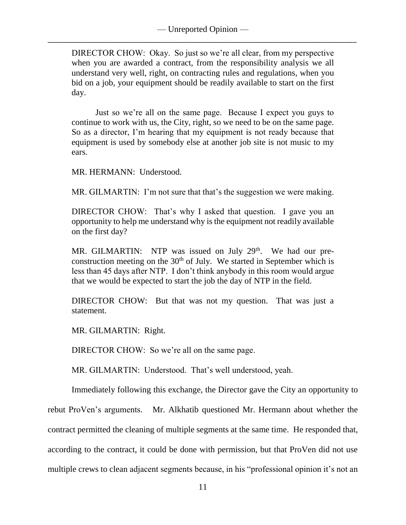DIRECTOR CHOW: Okay. So just so we're all clear, from my perspective when you are awarded a contract, from the responsibility analysis we all understand very well, right, on contracting rules and regulations, when you bid on a job, your equipment should be readily available to start on the first day.

Just so we're all on the same page. Because I expect you guys to continue to work with us, the City, right, so we need to be on the same page. So as a director, I'm hearing that my equipment is not ready because that equipment is used by somebody else at another job site is not music to my ears.

MR. HERMANN: Understood.

MR. GILMARTIN: I'm not sure that that's the suggestion we were making.

DIRECTOR CHOW: That's why I asked that question. I gave you an opportunity to help me understand why is the equipment not readily available on the first day?

MR. GILMARTIN: NTP was issued on July 29<sup>th</sup>. We had our preconstruction meeting on the  $30<sup>th</sup>$  of July. We started in September which is less than 45 days after NTP. I don't think anybody in this room would argue that we would be expected to start the job the day of NTP in the field.

DIRECTOR CHOW: But that was not my question. That was just a statement.

MR. GILMARTIN: Right.

DIRECTOR CHOW: So we're all on the same page.

MR. GILMARTIN: Understood. That's well understood, yeah.

Immediately following this exchange, the Director gave the City an opportunity to

rebut ProVen's arguments. Mr. Alkhatib questioned Mr. Hermann about whether the

contract permitted the cleaning of multiple segments at the same time. He responded that,

according to the contract, it could be done with permission, but that ProVen did not use

multiple crews to clean adjacent segments because, in his "professional opinion it's not an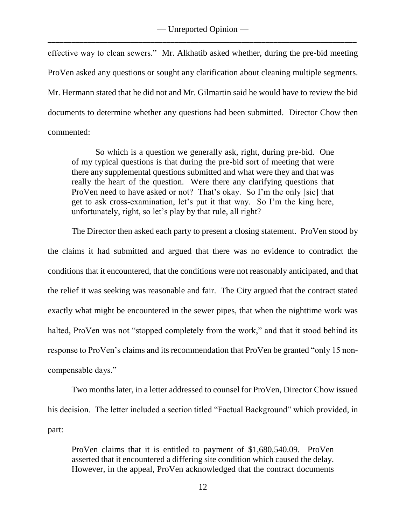effective way to clean sewers." Mr. Alkhatib asked whether, during the pre-bid meeting ProVen asked any questions or sought any clarification about cleaning multiple segments. Mr. Hermann stated that he did not and Mr. Gilmartin said he would have to review the bid documents to determine whether any questions had been submitted. Director Chow then commented:

So which is a question we generally ask, right, during pre-bid. One of my typical questions is that during the pre-bid sort of meeting that were there any supplemental questions submitted and what were they and that was really the heart of the question. Were there any clarifying questions that ProVen need to have asked or not? That's okay. So I'm the only [sic] that get to ask cross-examination, let's put it that way. So I'm the king here, unfortunately, right, so let's play by that rule, all right?

The Director then asked each party to present a closing statement. ProVen stood by the claims it had submitted and argued that there was no evidence to contradict the conditions that it encountered, that the conditions were not reasonably anticipated, and that the relief it was seeking was reasonable and fair. The City argued that the contract stated exactly what might be encountered in the sewer pipes, that when the nighttime work was halted, ProVen was not "stopped completely from the work," and that it stood behind its response to ProVen's claims and its recommendation that ProVen be granted "only 15 noncompensable days."

Two months later, in a letter addressed to counsel for ProVen, Director Chow issued his decision. The letter included a section titled "Factual Background" which provided, in part:

ProVen claims that it is entitled to payment of \$1,680,540.09. ProVen asserted that it encountered a differing site condition which caused the delay. However, in the appeal, ProVen acknowledged that the contract documents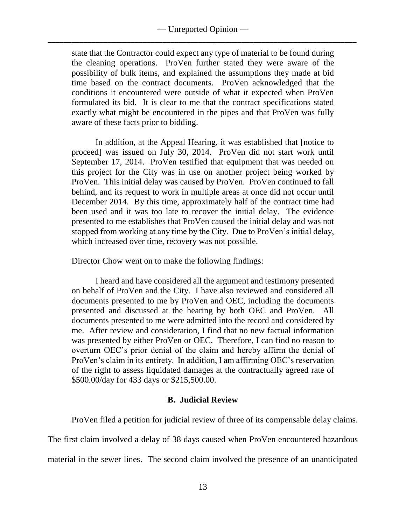state that the Contractor could expect any type of material to be found during the cleaning operations. ProVen further stated they were aware of the possibility of bulk items, and explained the assumptions they made at bid time based on the contract documents. ProVen acknowledged that the conditions it encountered were outside of what it expected when ProVen formulated its bid. It is clear to me that the contract specifications stated exactly what might be encountered in the pipes and that ProVen was fully aware of these facts prior to bidding.

In addition, at the Appeal Hearing, it was established that [notice to proceed] was issued on July 30, 2014. ProVen did not start work until September 17, 2014. ProVen testified that equipment that was needed on this project for the City was in use on another project being worked by ProVen. This initial delay was caused by ProVen. ProVen continued to fall behind, and its request to work in multiple areas at once did not occur until December 2014. By this time, approximately half of the contract time had been used and it was too late to recover the initial delay. The evidence presented to me establishes that ProVen caused the initial delay and was not stopped from working at any time by the City. Due to ProVen's initial delay, which increased over time, recovery was not possible.

Director Chow went on to make the following findings:

I heard and have considered all the argument and testimony presented on behalf of ProVen and the City. I have also reviewed and considered all documents presented to me by ProVen and OEC, including the documents presented and discussed at the hearing by both OEC and ProVen. All documents presented to me were admitted into the record and considered by me. After review and consideration, I find that no new factual information was presented by either ProVen or OEC. Therefore, I can find no reason to overturn OEC's prior denial of the claim and hereby affirm the denial of ProVen's claim in its entirety. In addition, I am affirming OEC's reservation of the right to assess liquidated damages at the contractually agreed rate of \$500.00/day for 433 days or \$215,500.00.

# **B. Judicial Review**

ProVen filed a petition for judicial review of three of its compensable delay claims.

The first claim involved a delay of 38 days caused when ProVen encountered hazardous material in the sewer lines. The second claim involved the presence of an unanticipated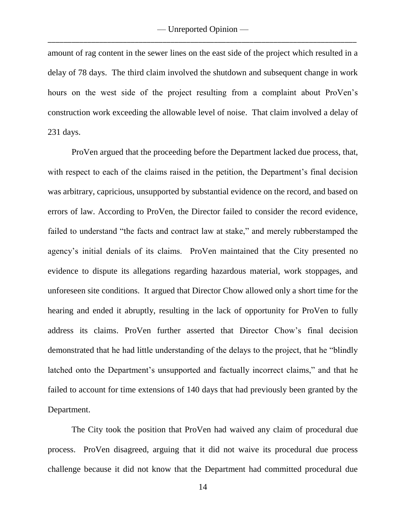amount of rag content in the sewer lines on the east side of the project which resulted in a delay of 78 days. The third claim involved the shutdown and subsequent change in work hours on the west side of the project resulting from a complaint about ProVen's construction work exceeding the allowable level of noise. That claim involved a delay of 231 days.

ProVen argued that the proceeding before the Department lacked due process, that, with respect to each of the claims raised in the petition, the Department's final decision was arbitrary, capricious, unsupported by substantial evidence on the record, and based on errors of law. According to ProVen, the Director failed to consider the record evidence, failed to understand "the facts and contract law at stake," and merely rubberstamped the agency's initial denials of its claims. ProVen maintained that the City presented no evidence to dispute its allegations regarding hazardous material, work stoppages, and unforeseen site conditions. It argued that Director Chow allowed only a short time for the hearing and ended it abruptly, resulting in the lack of opportunity for ProVen to fully address its claims. ProVen further asserted that Director Chow's final decision demonstrated that he had little understanding of the delays to the project, that he "blindly latched onto the Department's unsupported and factually incorrect claims," and that he failed to account for time extensions of 140 days that had previously been granted by the Department.

The City took the position that ProVen had waived any claim of procedural due process. ProVen disagreed, arguing that it did not waive its procedural due process challenge because it did not know that the Department had committed procedural due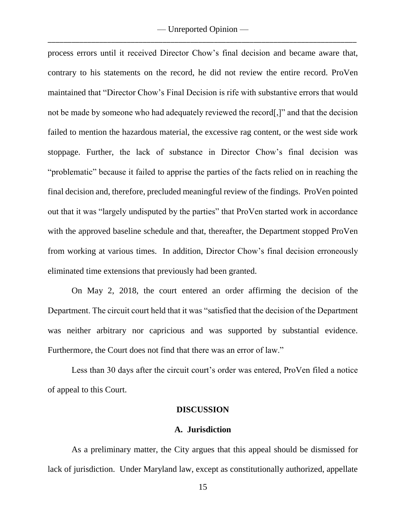process errors until it received Director Chow's final decision and became aware that, contrary to his statements on the record, he did not review the entire record. ProVen maintained that "Director Chow's Final Decision is rife with substantive errors that would not be made by someone who had adequately reviewed the record[,]" and that the decision failed to mention the hazardous material, the excessive rag content, or the west side work stoppage. Further, the lack of substance in Director Chow's final decision was "problematic" because it failed to apprise the parties of the facts relied on in reaching the final decision and, therefore, precluded meaningful review of the findings. ProVen pointed out that it was "largely undisputed by the parties" that ProVen started work in accordance with the approved baseline schedule and that, thereafter, the Department stopped ProVen from working at various times. In addition, Director Chow's final decision erroneously eliminated time extensions that previously had been granted.

On May 2, 2018, the court entered an order affirming the decision of the Department. The circuit court held that it was "satisfied that the decision of the Department was neither arbitrary nor capricious and was supported by substantial evidence. Furthermore, the Court does not find that there was an error of law."

Less than 30 days after the circuit court's order was entered, ProVen filed a notice of appeal to this Court.

#### **DISCUSSION**

#### **A. Jurisdiction**

As a preliminary matter, the City argues that this appeal should be dismissed for lack of jurisdiction. Under Maryland law, except as constitutionally authorized, appellate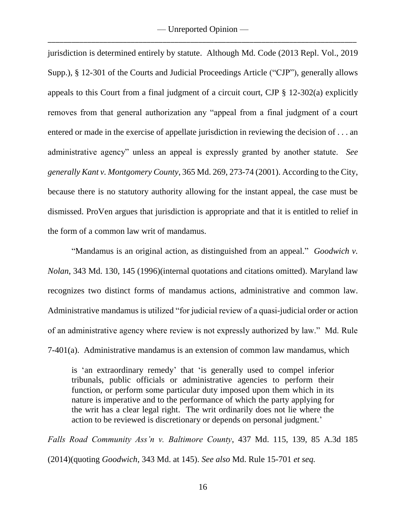— Unreported Opinion — \_\_\_\_\_\_\_\_\_\_\_\_\_\_\_\_\_\_\_\_\_\_\_\_\_\_\_\_\_\_\_\_\_\_\_\_\_\_\_\_\_\_\_\_\_\_\_\_\_\_\_\_\_\_\_\_\_\_\_\_\_\_\_\_\_\_\_\_\_\_\_\_\_\_\_\_\_\_

jurisdiction is determined entirely by statute. Although Md. Code (2013 Repl. Vol., 2019 Supp.), § 12-301 of the Courts and Judicial Proceedings Article ("CJP"), generally allows appeals to this Court from a final judgment of a circuit court, CJP § 12-302(a) explicitly removes from that general authorization any "appeal from a final judgment of a court entered or made in the exercise of appellate jurisdiction in reviewing the decision of . . . an administrative agency" unless an appeal is expressly granted by another statute. *See generally Kant v. Montgomery County*, 365 Md. 269, 273-74 (2001). According to the City, because there is no statutory authority allowing for the instant appeal, the case must be dismissed. ProVen argues that jurisdiction is appropriate and that it is entitled to relief in the form of a common law writ of mandamus.

"Mandamus is an original action, as distinguished from an appeal." *Goodwich v. Nolan*, 343 Md. 130, 145 (1996)(internal quotations and citations omitted). Maryland law recognizes two distinct forms of mandamus actions, administrative and common law. Administrative mandamus is utilized "for judicial review of a quasi-judicial order or action of an administrative agency where review is not expressly authorized by law." Md. Rule 7-401(a). Administrative mandamus is an extension of common law mandamus, which

is 'an extraordinary remedy' that 'is generally used to compel inferior tribunals, public officials or administrative agencies to perform their function, or perform some particular duty imposed upon them which in its nature is imperative and to the performance of which the party applying for the writ has a clear legal right. The writ ordinarily does not lie where the action to be reviewed is discretionary or depends on personal judgment.'

*Falls Road Community Ass'n v. Baltimore County*, 437 Md. 115, 139, 85 A.3d 185 (2014)(quoting *Goodwich*, 343 Md. at 145). *See also* Md. Rule 15-701 *et seq.*

16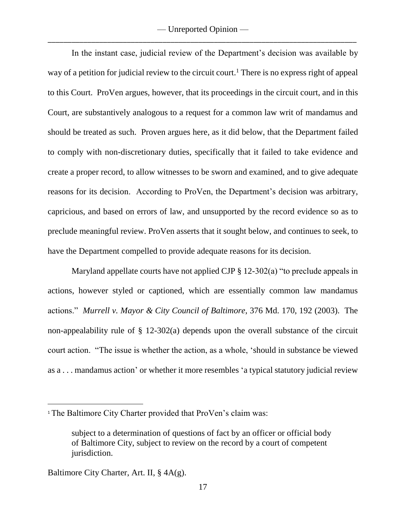In the instant case, judicial review of the Department's decision was available by way of a petition for judicial review to the circuit court.<sup>1</sup> There is no express right of appeal to this Court. ProVen argues, however, that its proceedings in the circuit court, and in this Court, are substantively analogous to a request for a common law writ of mandamus and should be treated as such. Proven argues here, as it did below, that the Department failed to comply with non-discretionary duties, specifically that it failed to take evidence and create a proper record, to allow witnesses to be sworn and examined, and to give adequate reasons for its decision. According to ProVen, the Department's decision was arbitrary, capricious, and based on errors of law, and unsupported by the record evidence so as to preclude meaningful review. ProVen asserts that it sought below, and continues to seek, to have the Department compelled to provide adequate reasons for its decision.

Maryland appellate courts have not applied CJP § 12-302(a) "to preclude appeals in actions, however styled or captioned, which are essentially common law mandamus actions." *Murrell v. Mayor & City Council of Baltimore*, 376 Md. 170, 192 (2003). The non-appealability rule of  $\S$  12-302(a) depends upon the overall substance of the circuit court action. "The issue is whether the action, as a whole, 'should in substance be viewed as a . . . mandamus action' or whether it more resembles 'a typical statutory judicial review

 $\overline{a}$ 

<sup>&</sup>lt;sup>1</sup> The Baltimore City Charter provided that ProVen's claim was:

subject to a determination of questions of fact by an officer or official body of Baltimore City, subject to review on the record by a court of competent jurisdiction.

Baltimore City Charter, Art. II, § 4A(g).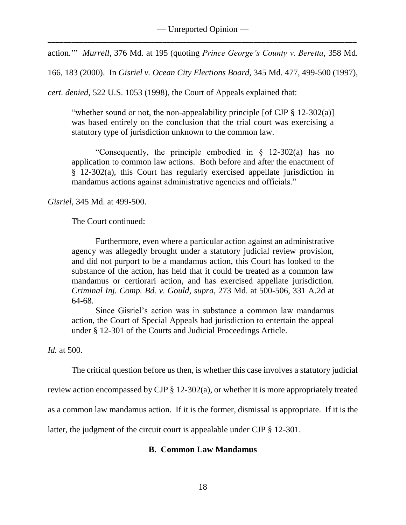action.'" *Murrell*, 376 Md. at 195 (quoting *Prince George's County v. Beretta*, 358 Md.

166, 183 (2000). In *Gisriel v. Ocean City Elections Board,* 345 Md. 477, 499-500 (1997),

*cert. denied*, 522 U.S. 1053 (1998), the Court of Appeals explained that:

"whether sound or not, the non-appealability principle [of CJP  $\S$  12-302(a)] was based entirely on the conclusion that the trial court was exercising a statutory type of jurisdiction unknown to the common law.

"Consequently, the principle embodied in § 12-302(a) has no application to common law actions. Both before and after the enactment of § 12-302(a), this Court has regularly exercised appellate jurisdiction in mandamus actions against administrative agencies and officials."

*Gisriel*, 345 Md. at 499-500.

The Court continued:

Furthermore, even where a particular action against an administrative agency was allegedly brought under a statutory judicial review provision, and did not purport to be a mandamus action, this Court has looked to the substance of the action, has held that it could be treated as a common law mandamus or certiorari action, and has exercised appellate jurisdiction. *Criminal Inj. Comp. Bd. v. Gould*, *supra*, 273 Md. at 500-506, 331 A.2d at 64-68.

Since Gisriel's action was in substance a common law mandamus action, the Court of Special Appeals had jurisdiction to entertain the appeal under § 12-301 of the Courts and Judicial Proceedings Article.

*Id.* at 500.

The critical question before us then, is whether this case involves a statutory judicial

review action encompassed by CJP § 12-302(a), or whether it is more appropriately treated

as a common law mandamus action. If it is the former, dismissal is appropriate. If it is the

latter, the judgment of the circuit court is appealable under CJP § 12-301.

## **B. Common Law Mandamus**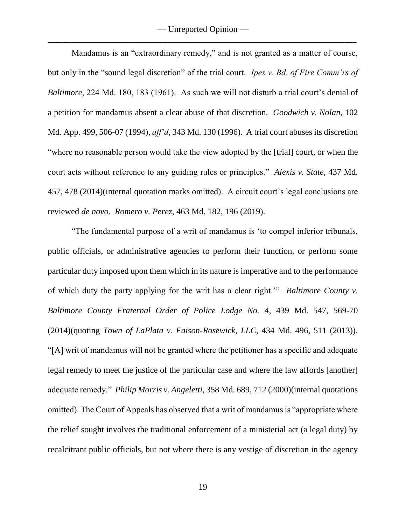— Unreported Opinion — \_\_\_\_\_\_\_\_\_\_\_\_\_\_\_\_\_\_\_\_\_\_\_\_\_\_\_\_\_\_\_\_\_\_\_\_\_\_\_\_\_\_\_\_\_\_\_\_\_\_\_\_\_\_\_\_\_\_\_\_\_\_\_\_\_\_\_\_\_\_\_\_\_\_\_\_\_\_

Mandamus is an "extraordinary remedy," and is not granted as a matter of course, but only in the "sound legal discretion" of the trial court. *Ipes v. Bd. of Fire Comm'rs of Baltimore*, 224 Md. 180, 183 (1961). As such we will not disturb a trial court's denial of a petition for mandamus absent a clear abuse of that discretion. *Goodwich v. Nolan*, 102 Md. App. 499, 506-07 (1994), *aff'd*, 343 Md. 130 (1996). A trial court abuses its discretion "where no reasonable person would take the view adopted by the [trial] court, or when the court acts without reference to any guiding rules or principles." *Alexis v. State*, 437 Md. 457, 478 (2014)(internal quotation marks omitted). A circuit court's legal conclusions are reviewed *de novo*. *Romero v. Perez*, 463 Md. 182, 196 (2019).

"The fundamental purpose of a writ of mandamus is 'to compel inferior tribunals, public officials, or administrative agencies to perform their function, or perform some particular duty imposed upon them which in its nature is imperative and to the performance of which duty the party applying for the writ has a clear right.'" *Baltimore County v. Baltimore County Fraternal Order of Police Lodge No. 4*, 439 Md. 547, 569-70 (2014)(quoting *Town of LaPlata v. Faison-Rosewick, LLC*, 434 Md. 496, 511 (2013)). "[A] writ of mandamus will not be granted where the petitioner has a specific and adequate legal remedy to meet the justice of the particular case and where the law affords [another] adequate remedy." *Philip Morris v. Angeletti*, 358 Md. 689, 712 (2000)(internal quotations omitted). The Court of Appeals has observed that a writ of mandamus is "appropriate where the relief sought involves the traditional enforcement of a ministerial act (a legal duty) by recalcitrant public officials, but not where there is any vestige of discretion in the agency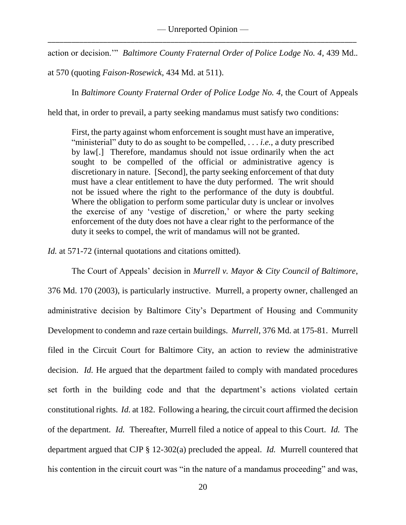action or decision.'" *Baltimore County Fraternal Order of Police Lodge No. 4*, 439 Md.*.*

at 570 (quoting *Faison-Rosewick*, 434 Md. at 511).

In *Baltimore County Fraternal Order of Police Lodge No. 4*, the Court of Appeals

held that, in order to prevail, a party seeking mandamus must satisfy two conditions:

First, the party against whom enforcement is sought must have an imperative, "ministerial" duty to do as sought to be compelled, . . . *i.e.*, a duty prescribed by law[.] Therefore, mandamus should not issue ordinarily when the act sought to be compelled of the official or administrative agency is discretionary in nature. [Second], the party seeking enforcement of that duty must have a clear entitlement to have the duty performed. The writ should not be issued where the right to the performance of the duty is doubtful. Where the obligation to perform some particular duty is unclear or involves the exercise of any 'vestige of discretion,' or where the party seeking enforcement of the duty does not have a clear right to the performance of the duty it seeks to compel, the writ of mandamus will not be granted.

*Id.* at 571-72 (internal quotations and citations omitted).

The Court of Appeals' decision in *Murrell v. Mayor & City Council of Baltimore*,

376 Md. 170 (2003), is particularly instructive. Murrell, a property owner, challenged an administrative decision by Baltimore City's Department of Housing and Community Development to condemn and raze certain buildings. *Murrell*, 376 Md. at 175-81. Murrell filed in the Circuit Court for Baltimore City, an action to review the administrative decision. *Id.* He argued that the department failed to comply with mandated procedures set forth in the building code and that the department's actions violated certain constitutional rights. *Id.* at 182. Following a hearing, the circuit court affirmed the decision of the department. *Id.* Thereafter, Murrell filed a notice of appeal to this Court. *Id.* The department argued that CJP § 12-302(a) precluded the appeal. *Id.* Murrell countered that his contention in the circuit court was "in the nature of a mandamus proceeding" and was,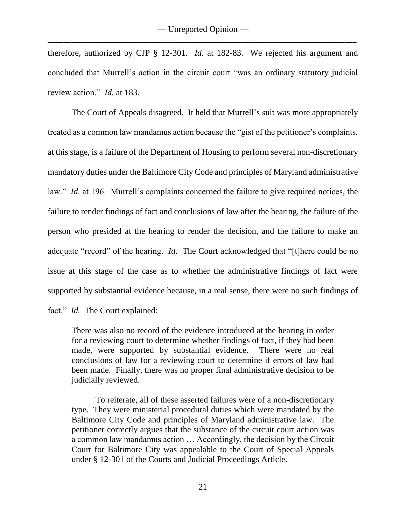therefore, authorized by CJP § 12-301. *Id.* at 182-83. We rejected his argument and concluded that Murrell's action in the circuit court "was an ordinary statutory judicial review action." *Id.* at 183.

The Court of Appeals disagreed. It held that Murrell's suit was more appropriately treated as a common law mandamus action because the "gist of the petitioner's complaints, at this stage, is a failure of the Department of Housing to perform several non-discretionary mandatory duties under the Baltimore City Code and principles of Maryland administrative law." *Id.* at 196. Murrell's complaints concerned the failure to give required notices, the failure to render findings of fact and conclusions of law after the hearing, the failure of the person who presided at the hearing to render the decision, and the failure to make an adequate "record" of the hearing. *Id.* The Court acknowledged that "[t]here could be no issue at this stage of the case as to whether the administrative findings of fact were supported by substantial evidence because, in a real sense, there were no such findings of fact." *Id.* The Court explained:

There was also no record of the evidence introduced at the hearing in order for a reviewing court to determine whether findings of fact, if they had been made, were supported by substantial evidence. There were no real conclusions of law for a reviewing court to determine if errors of law had been made. Finally, there was no proper final administrative decision to be judicially reviewed.

To reiterate, all of these asserted failures were of a non-discretionary type. They were ministerial procedural duties which were mandated by the Baltimore City Code and principles of Maryland administrative law. The petitioner correctly argues that the substance of the circuit court action was a common law mandamus action … Accordingly, the decision by the Circuit Court for Baltimore City was appealable to the Court of Special Appeals under § 12-301 of the Courts and Judicial Proceedings Article.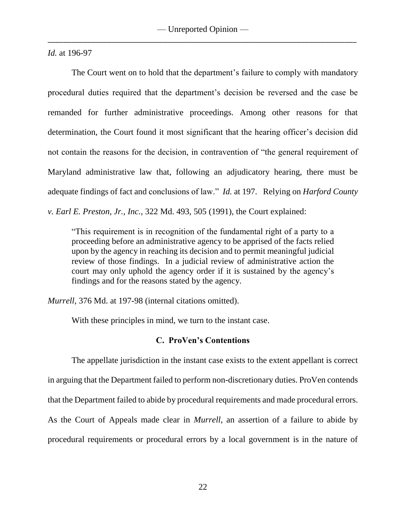*Id.* at 196-97

The Court went on to hold that the department's failure to comply with mandatory procedural duties required that the department's decision be reversed and the case be remanded for further administrative proceedings. Among other reasons for that determination, the Court found it most significant that the hearing officer's decision did not contain the reasons for the decision, in contravention of "the general requirement of Maryland administrative law that, following an adjudicatory hearing, there must be adequate findings of fact and conclusions of law." *Id.* at 197. Relying on *Harford County v. Earl E. Preston, Jr., Inc.*, 322 Md. 493, 505 (1991), the Court explained:

"This requirement is in recognition of the fundamental right of a party to a proceeding before an administrative agency to be apprised of the facts relied upon by the agency in reaching its decision and to permit meaningful judicial review of those findings. In a judicial review of administrative action the court may only uphold the agency order if it is sustained by the agency's findings and for the reasons stated by the agency.

*Murrell*, 376 Md. at 197-98 (internal citations omitted).

With these principles in mind, we turn to the instant case.

## **C. ProVen's Contentions**

The appellate jurisdiction in the instant case exists to the extent appellant is correct in arguing that the Department failed to perform non-discretionary duties. ProVen contends that the Department failed to abide by procedural requirements and made procedural errors. As the Court of Appeals made clear in *Murrell*, an assertion of a failure to abide by procedural requirements or procedural errors by a local government is in the nature of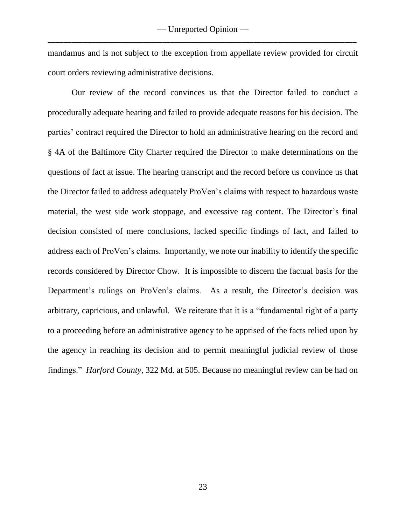mandamus and is not subject to the exception from appellate review provided for circuit court orders reviewing administrative decisions.

Our review of the record convinces us that the Director failed to conduct a procedurally adequate hearing and failed to provide adequate reasons for his decision. The parties' contract required the Director to hold an administrative hearing on the record and § 4A of the Baltimore City Charter required the Director to make determinations on the questions of fact at issue. The hearing transcript and the record before us convince us that the Director failed to address adequately ProVen's claims with respect to hazardous waste material, the west side work stoppage, and excessive rag content. The Director's final decision consisted of mere conclusions, lacked specific findings of fact, and failed to address each of ProVen's claims. Importantly, we note our inability to identify the specific records considered by Director Chow. It is impossible to discern the factual basis for the Department's rulings on ProVen's claims. As a result, the Director's decision was arbitrary, capricious, and unlawful. We reiterate that it is a "fundamental right of a party to a proceeding before an administrative agency to be apprised of the facts relied upon by the agency in reaching its decision and to permit meaningful judicial review of those findings." *Harford County*, 322 Md. at 505. Because no meaningful review can be had on